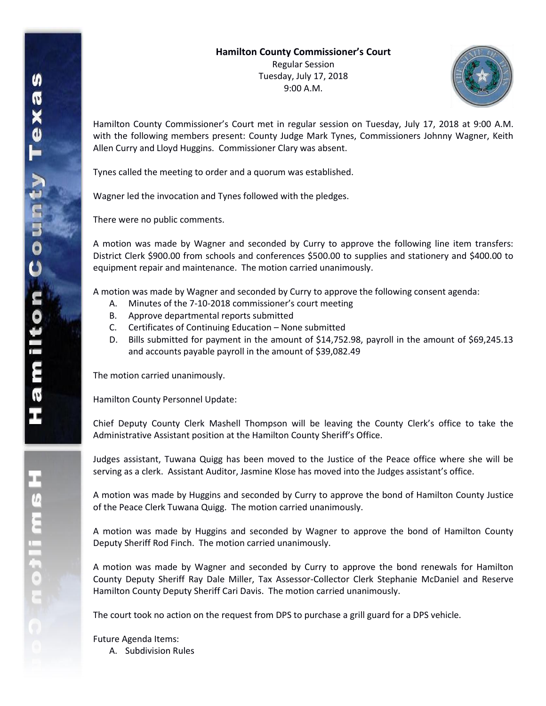

Hamilton County Commissioner's Court met in regular session on Tuesday, July 17, 2018 at 9:00 A.M. with the following members present: County Judge Mark Tynes, Commissioners Johnny Wagner, Keith Allen Curry and Lloyd Huggins. Commissioner Clary was absent.

Tynes called the meeting to order and a quorum was established.

Wagner led the invocation and Tynes followed with the pledges.

There were no public comments.

A motion was made by Wagner and seconded by Curry to approve the following line item transfers: District Clerk \$900.00 from schools and conferences \$500.00 to supplies and stationery and \$400.00 to equipment repair and maintenance. The motion carried unanimously.

A motion was made by Wagner and seconded by Curry to approve the following consent agenda:

- A. Minutes of the 7-10-2018 commissioner's court meeting
- B. Approve departmental reports submitted
- C. Certificates of Continuing Education None submitted
- D. Bills submitted for payment in the amount of \$14,752.98, payroll in the amount of \$69,245.13 and accounts payable payroll in the amount of \$39,082.49

The motion carried unanimously.

Hamilton County Personnel Update:

Chief Deputy County Clerk Mashell Thompson will be leaving the County Clerk's office to take the Administrative Assistant position at the Hamilton County Sheriff's Office.

Judges assistant, Tuwana Quigg has been moved to the Justice of the Peace office where she will be serving as a clerk. Assistant Auditor, Jasmine Klose has moved into the Judges assistant's office.

A motion was made by Huggins and seconded by Curry to approve the bond of Hamilton County Justice of the Peace Clerk Tuwana Quigg. The motion carried unanimously.

A motion was made by Huggins and seconded by Wagner to approve the bond of Hamilton County Deputy Sheriff Rod Finch. The motion carried unanimously.

A motion was made by Wagner and seconded by Curry to approve the bond renewals for Hamilton County Deputy Sheriff Ray Dale Miller, Tax Assessor-Collector Clerk Stephanie McDaniel and Reserve Hamilton County Deputy Sheriff Cari Davis. The motion carried unanimously.

The court took no action on the request from DPS to purchase a grill guard for a DPS vehicle.

Future Agenda Items:

A. Subdivision Rules

エムミニャクこ